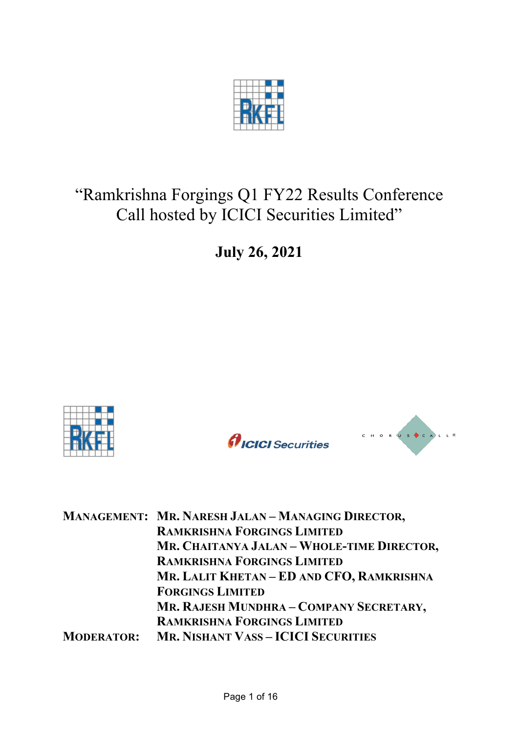

# "Ramkrishna Forgings Q1 FY22 Results Conference Call hosted by ICICI Securities Limited"

**July 26, 2021**





|                   | MANAGEMENT: MR. NARESH JALAN - MANAGING DIRECTOR, |
|-------------------|---------------------------------------------------|
|                   | <b>RAMKRISHNA FORGINGS LIMITED</b>                |
|                   | MR. CHAITANYA JALAN - WHOLE-TIME DIRECTOR,        |
|                   | <b>RAMKRISHNA FORGINGS LIMITED</b>                |
|                   | MR. LALIT KHETAN – ED AND CFO, RAMKRISHNA         |
|                   | <b>FORGINGS LIMITED</b>                           |
|                   | MR. RAJESH MUNDHRA - COMPANY SECRETARY,           |
|                   | <b>RAMKRISHNA FORGINGS LIMITED</b>                |
| <b>MODERATOR:</b> | <b>MR. NISHANT VASS - ICICI SECURITIES</b>        |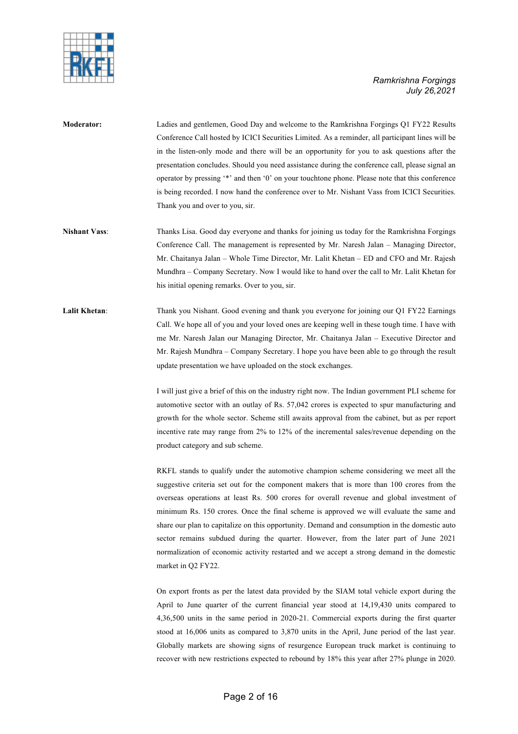



**Moderator:** Ladies and gentlemen, Good Day and welcome to the Ramkrishna Forgings Q1 FY22 Results Conference Call hosted by ICICI Securities Limited. As a reminder, all participant lines will be in the listen-only mode and there will be an opportunity for you to ask questions after the presentation concludes. Should you need assistance during the conference call, please signal an operator by pressing '\*' and then '0' on your touchtone phone. Please note that this conference is being recorded. I now hand the conference over to Mr. Nishant Vass from ICICI Securities. Thank you and over to you, sir.

- **Nishant Vass**: Thanks Lisa. Good day everyone and thanks for joining us today for the Ramkrishna Forgings Conference Call. The management is represented by Mr. Naresh Jalan – Managing Director, Mr. Chaitanya Jalan – Whole Time Director, Mr. Lalit Khetan – ED and CFO and Mr. Rajesh Mundhra – Company Secretary. Now I would like to hand over the call to Mr. Lalit Khetan for his initial opening remarks. Over to you, sir.
- **Lalit Khetan**: Thank you Nishant. Good evening and thank you everyone for joining our Q1 FY22 Earnings Call. We hope all of you and your loved ones are keeping well in these tough time. I have with me Mr. Naresh Jalan our Managing Director, Mr. Chaitanya Jalan – Executive Director and Mr. Rajesh Mundhra – Company Secretary. I hope you have been able to go through the result update presentation we have uploaded on the stock exchanges.

I will just give a brief of this on the industry right now. The Indian government PLI scheme for automotive sector with an outlay of Rs. 57,042 crores is expected to spur manufacturing and growth for the whole sector. Scheme still awaits approval from the cabinet, but as per report incentive rate may range from 2% to 12% of the incremental sales/revenue depending on the product category and sub scheme.

RKFL stands to qualify under the automotive champion scheme considering we meet all the suggestive criteria set out for the component makers that is more than 100 crores from the overseas operations at least Rs. 500 crores for overall revenue and global investment of minimum Rs. 150 crores. Once the final scheme is approved we will evaluate the same and share our plan to capitalize on this opportunity. Demand and consumption in the domestic auto sector remains subdued during the quarter. However, from the later part of June 2021 normalization of economic activity restarted and we accept a strong demand in the domestic market in Q2 FY22.

On export fronts as per the latest data provided by the SIAM total vehicle export during the April to June quarter of the current financial year stood at 14,19,430 units compared to 4,36,500 units in the same period in 2020-21. Commercial exports during the first quarter stood at 16,006 units as compared to 3,870 units in the April, June period of the last year. Globally markets are showing signs of resurgence European truck market is continuing to recover with new restrictions expected to rebound by 18% this year after 27% plunge in 2020.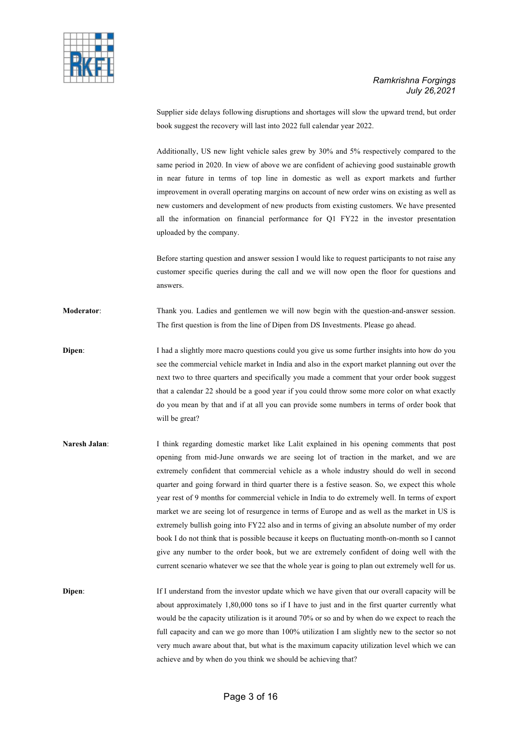

Supplier side delays following disruptions and shortages will slow the upward trend, but order book suggest the recovery will last into 2022 full calendar year 2022.

Additionally, US new light vehicle sales grew by 30% and 5% respectively compared to the same period in 2020. In view of above we are confident of achieving good sustainable growth in near future in terms of top line in domestic as well as export markets and further improvement in overall operating margins on account of new order wins on existing as well as new customers and development of new products from existing customers. We have presented all the information on financial performance for Q1 FY22 in the investor presentation uploaded by the company.

Before starting question and answer session I would like to request participants to not raise any customer specific queries during the call and we will now open the floor for questions and answers.

**Moderator**: Thank you. Ladies and gentlemen we will now begin with the question-and-answer session. The first question is from the line of Dipen from DS Investments. Please go ahead.

**Dipen:** I had a slightly more macro questions could you give us some further insights into how do you see the commercial vehicle market in India and also in the export market planning out over the next two to three quarters and specifically you made a comment that your order book suggest that a calendar 22 should be a good year if you could throw some more color on what exactly do you mean by that and if at all you can provide some numbers in terms of order book that will be great?

**Naresh Jalan**: I think regarding domestic market like Lalit explained in his opening comments that post opening from mid-June onwards we are seeing lot of traction in the market, and we are extremely confident that commercial vehicle as a whole industry should do well in second quarter and going forward in third quarter there is a festive season. So, we expect this whole year rest of 9 months for commercial vehicle in India to do extremely well. In terms of export market we are seeing lot of resurgence in terms of Europe and as well as the market in US is extremely bullish going into FY22 also and in terms of giving an absolute number of my order book I do not think that is possible because it keeps on fluctuating month-on-month so I cannot give any number to the order book, but we are extremely confident of doing well with the current scenario whatever we see that the whole year is going to plan out extremely well for us.

**Dipen:** If I understand from the investor update which we have given that our overall capacity will be about approximately 1,80,000 tons so if I have to just and in the first quarter currently what would be the capacity utilization is it around 70% or so and by when do we expect to reach the full capacity and can we go more than 100% utilization I am slightly new to the sector so not very much aware about that, but what is the maximum capacity utilization level which we can achieve and by when do you think we should be achieving that?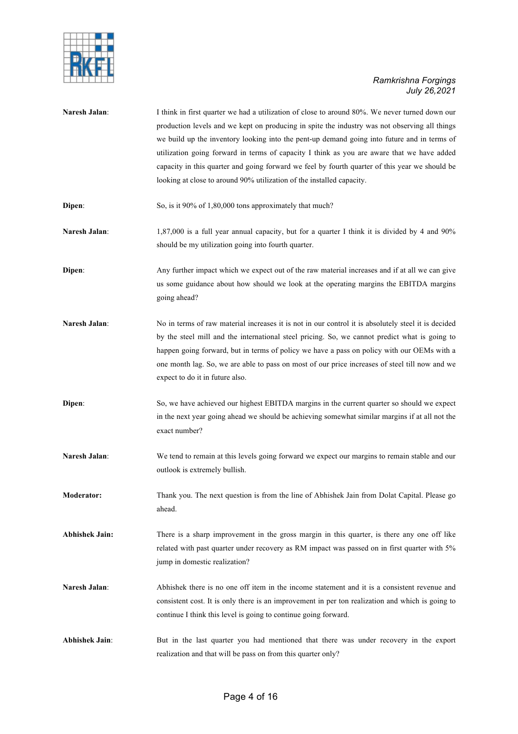

| Naresh Jalan:         | I think in first quarter we had a utilization of close to around 80%. We never turned down our<br>production levels and we kept on producing in spite the industry was not observing all things<br>we build up the inventory looking into the pent-up demand going into future and in terms of<br>utilization going forward in terms of capacity I think as you are aware that we have added<br>capacity in this quarter and going forward we feel by fourth quarter of this year we should be<br>looking at close to around 90% utilization of the installed capacity. |
|-----------------------|-------------------------------------------------------------------------------------------------------------------------------------------------------------------------------------------------------------------------------------------------------------------------------------------------------------------------------------------------------------------------------------------------------------------------------------------------------------------------------------------------------------------------------------------------------------------------|
| Dipen:                | So, is it 90% of 1,80,000 tons approximately that much?                                                                                                                                                                                                                                                                                                                                                                                                                                                                                                                 |
| Naresh Jalan:         | 1,87,000 is a full year annual capacity, but for a quarter I think it is divided by 4 and 90%<br>should be my utilization going into fourth quarter.                                                                                                                                                                                                                                                                                                                                                                                                                    |
| Dipen:                | Any further impact which we expect out of the raw material increases and if at all we can give<br>us some guidance about how should we look at the operating margins the EBITDA margins<br>going ahead?                                                                                                                                                                                                                                                                                                                                                                 |
| Naresh Jalan:         | No in terms of raw material increases it is not in our control it is absolutely steel it is decided<br>by the steel mill and the international steel pricing. So, we cannot predict what is going to<br>happen going forward, but in terms of policy we have a pass on policy with our OEMs with a<br>one month lag. So, we are able to pass on most of our price increases of steel till now and we<br>expect to do it in future also.                                                                                                                                 |
| Dipen:                | So, we have achieved our highest EBITDA margins in the current quarter so should we expect<br>in the next year going ahead we should be achieving somewhat similar margins if at all not the<br>exact number?                                                                                                                                                                                                                                                                                                                                                           |
| Naresh Jalan:         | We tend to remain at this levels going forward we expect our margins to remain stable and our<br>outlook is extremely bullish.                                                                                                                                                                                                                                                                                                                                                                                                                                          |
| <b>Moderator:</b>     | Thank you. The next question is from the line of Abhishek Jain from Dolat Capital. Please go<br>ahead.                                                                                                                                                                                                                                                                                                                                                                                                                                                                  |
| <b>Abhishek Jain:</b> | There is a sharp improvement in the gross margin in this quarter, is there any one off like<br>related with past quarter under recovery as RM impact was passed on in first quarter with 5%<br>jump in domestic realization?                                                                                                                                                                                                                                                                                                                                            |
| Naresh Jalan:         | Abhishek there is no one off item in the income statement and it is a consistent revenue and<br>consistent cost. It is only there is an improvement in per ton realization and which is going to<br>continue I think this level is going to continue going forward.                                                                                                                                                                                                                                                                                                     |
| <b>Abhishek Jain:</b> | But in the last quarter you had mentioned that there was under recovery in the export<br>realization and that will be pass on from this quarter only?                                                                                                                                                                                                                                                                                                                                                                                                                   |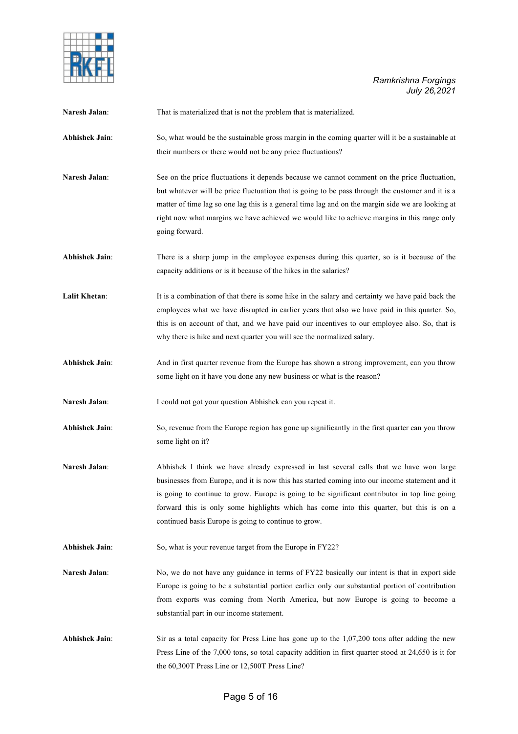

| Naresh Jalan:         | That is materialized that is not the problem that is materialized.                                                                                                                                                                                                                                                                                                                                                                            |
|-----------------------|-----------------------------------------------------------------------------------------------------------------------------------------------------------------------------------------------------------------------------------------------------------------------------------------------------------------------------------------------------------------------------------------------------------------------------------------------|
| <b>Abhishek Jain:</b> | So, what would be the sustainable gross margin in the coming quarter will it be a sustainable at<br>their numbers or there would not be any price fluctuations?                                                                                                                                                                                                                                                                               |
| Naresh Jalan:         | See on the price fluctuations it depends because we cannot comment on the price fluctuation,<br>but whatever will be price fluctuation that is going to be pass through the customer and it is a<br>matter of time lag so one lag this is a general time lag and on the margin side we are looking at<br>right now what margins we have achieved we would like to achieve margins in this range only<br>going forward.                        |
| <b>Abhishek Jain:</b> | There is a sharp jump in the employee expenses during this quarter, so is it because of the<br>capacity additions or is it because of the hikes in the salaries?                                                                                                                                                                                                                                                                              |
| Lalit Khetan:         | It is a combination of that there is some hike in the salary and certainty we have paid back the<br>employees what we have disrupted in earlier years that also we have paid in this quarter. So,<br>this is on account of that, and we have paid our incentives to our employee also. So, that is<br>why there is hike and next quarter you will see the normalized salary.                                                                  |
| <b>Abhishek Jain:</b> | And in first quarter revenue from the Europe has shown a strong improvement, can you throw<br>some light on it have you done any new business or what is the reason?                                                                                                                                                                                                                                                                          |
| Naresh Jalan:         | I could not got your question Abhishek can you repeat it.                                                                                                                                                                                                                                                                                                                                                                                     |
| <b>Abhishek Jain:</b> | So, revenue from the Europe region has gone up significantly in the first quarter can you throw<br>some light on it?                                                                                                                                                                                                                                                                                                                          |
| Naresh Jalan:         | Abhishek I think we have already expressed in last several calls that we have won large<br>businesses from Europe, and it is now this has started coming into our income statement and it<br>is going to continue to grow. Europe is going to be significant contributor in top line going<br>forward this is only some highlights which has come into this quarter, but this is on a<br>continued basis Europe is going to continue to grow. |
| <b>Abhishek Jain:</b> | So, what is your revenue target from the Europe in FY22?                                                                                                                                                                                                                                                                                                                                                                                      |
| Naresh Jalan:         | No, we do not have any guidance in terms of FY22 basically our intent is that in export side<br>Europe is going to be a substantial portion earlier only our substantial portion of contribution<br>from exports was coming from North America, but now Europe is going to become a<br>substantial part in our income statement.                                                                                                              |
| <b>Abhishek Jain:</b> | Sir as a total capacity for Press Line has gone up to the $1,07,200$ tons after adding the new<br>Press Line of the 7,000 tons, so total capacity addition in first quarter stood at 24,650 is it for<br>the 60,300T Press Line or 12,500T Press Line?                                                                                                                                                                                        |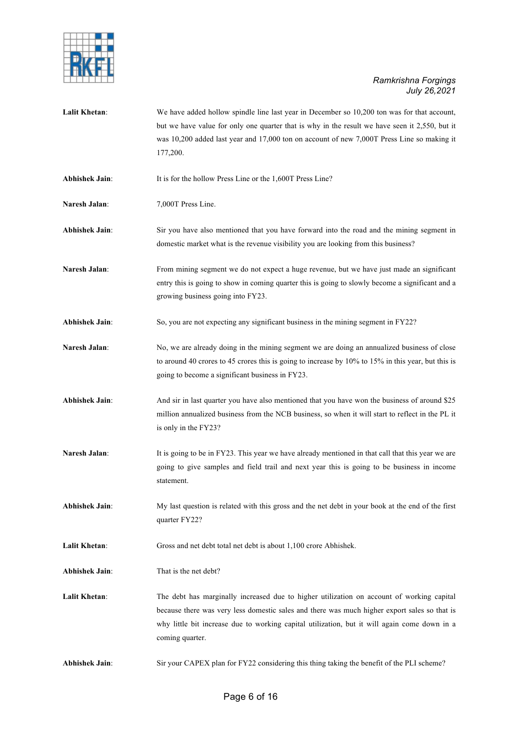

Lalit Khetan: We have added hollow spindle line last year in December so 10,200 ton was for that account, but we have value for only one quarter that is why in the result we have seen it 2,550, but it was 10,200 added last year and 17,000 ton on account of new 7,000T Press Line so making it 177,200. **Abhishek Jain:** It is for the hollow Press Line or the 1,600T Press Line? **Naresh Jalan**: 7,000T Press Line. **Abhishek Jain**: Sir you have also mentioned that you have forward into the road and the mining segment in domestic market what is the revenue visibility you are looking from this business? Naresh Jalan: From mining segment we do not expect a huge revenue, but we have just made an significant entry this is going to show in coming quarter this is going to slowly become a significant and a growing business going into FY23. **Abhishek Jain**: So, you are not expecting any significant business in the mining segment in FY22? Naresh Jalan: No, we are already doing in the mining segment we are doing an annualized business of close to around 40 crores to 45 crores this is going to increase by 10% to 15% in this year, but this is going to become a significant business in FY23. **Abhishek Jain**: And sir in last quarter you have also mentioned that you have won the business of around \$25 million annualized business from the NCB business, so when it will start to reflect in the PL it is only in the FY23? **Naresh Jalan:** It is going to be in FY23. This year we have already mentioned in that call that this year we are going to give samples and field trail and next year this is going to be business in income statement. **Abhishek Jain**: My last question is related with this gross and the net debt in your book at the end of the first quarter FY22? **Lalit Khetan:** Gross and net debt total net debt is about 1,100 crore Abhishek. **Abhishek Jain**: That is the net debt? **Lalit Khetan**: The debt has marginally increased due to higher utilization on account of working capital because there was very less domestic sales and there was much higher export sales so that is why little bit increase due to working capital utilization, but it will again come down in a coming quarter.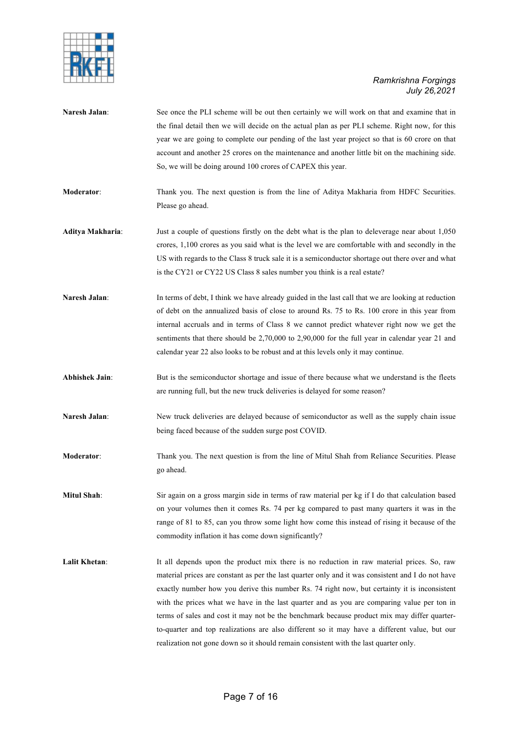

| Naresh Jalan:         | See once the PLI scheme will be out then certainly we will work on that and examine that in<br>the final detail then we will decide on the actual plan as per PLI scheme. Right now, for this<br>year we are going to complete our pending of the last year project so that is 60 crore on that<br>account and another 25 crores on the maintenance and another little bit on the machining side.<br>So, we will be doing around 100 crores of CAPEX this year.                                                                                                                                                                                                                     |
|-----------------------|-------------------------------------------------------------------------------------------------------------------------------------------------------------------------------------------------------------------------------------------------------------------------------------------------------------------------------------------------------------------------------------------------------------------------------------------------------------------------------------------------------------------------------------------------------------------------------------------------------------------------------------------------------------------------------------|
| Moderator:            | Thank you. The next question is from the line of Aditya Makharia from HDFC Securities.<br>Please go ahead.                                                                                                                                                                                                                                                                                                                                                                                                                                                                                                                                                                          |
| Aditya Makharia:      | Just a couple of questions firstly on the debt what is the plan to deleverage near about 1,050<br>crores, 1,100 crores as you said what is the level we are comfortable with and secondly in the<br>US with regards to the Class 8 truck sale it is a semiconductor shortage out there over and what<br>is the CY21 or CY22 US Class 8 sales number you think is a real estate?                                                                                                                                                                                                                                                                                                     |
| Naresh Jalan:         | In terms of debt, I think we have already guided in the last call that we are looking at reduction<br>of debt on the annualized basis of close to around Rs. 75 to Rs. 100 crore in this year from<br>internal accruals and in terms of Class 8 we cannot predict whatever right now we get the<br>sentiments that there should be $2,70,000$ to $2,90,000$ for the full year in calendar year 21 and<br>calendar year 22 also looks to be robust and at this levels only it may continue.                                                                                                                                                                                          |
| <b>Abhishek Jain:</b> | But is the semiconductor shortage and issue of there because what we understand is the fleets<br>are running full, but the new truck deliveries is delayed for some reason?                                                                                                                                                                                                                                                                                                                                                                                                                                                                                                         |
| Naresh Jalan:         | New truck deliveries are delayed because of semiconductor as well as the supply chain issue<br>being faced because of the sudden surge post COVID.                                                                                                                                                                                                                                                                                                                                                                                                                                                                                                                                  |
| Moderator:            | Thank you. The next question is from the line of Mitul Shah from Reliance Securities. Please<br>go ahead.                                                                                                                                                                                                                                                                                                                                                                                                                                                                                                                                                                           |
| Mitul Shah:           | Sir again on a gross margin side in terms of raw material per kg if I do that calculation based<br>on your volumes then it comes Rs. 74 per kg compared to past many quarters it was in the<br>range of 81 to 85, can you throw some light how come this instead of rising it because of the<br>commodity inflation it has come down significantly?                                                                                                                                                                                                                                                                                                                                 |
| Lalit Khetan:         | It all depends upon the product mix there is no reduction in raw material prices. So, raw<br>material prices are constant as per the last quarter only and it was consistent and I do not have<br>exactly number how you derive this number Rs. 74 right now, but certainty it is inconsistent<br>with the prices what we have in the last quarter and as you are comparing value per ton in<br>terms of sales and cost it may not be the benchmark because product mix may differ quarter-<br>to-quarter and top realizations are also different so it may have a different value, but our<br>realization not gone down so it should remain consistent with the last quarter only. |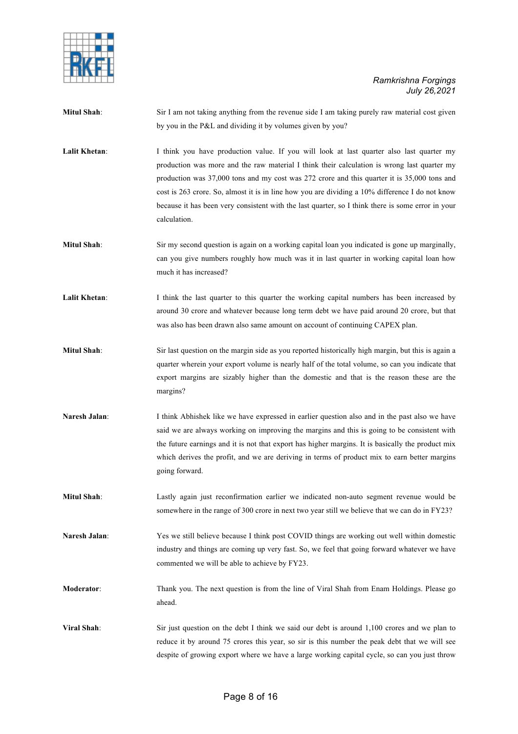

| <b>Mitul Shah:</b> | Sir I am not taking anything from the revenue side I am taking purely raw material cost given<br>by you in the P&L and dividing it by volumes given by you?                                                                                                                                                                                                                                                                                                                                                    |
|--------------------|----------------------------------------------------------------------------------------------------------------------------------------------------------------------------------------------------------------------------------------------------------------------------------------------------------------------------------------------------------------------------------------------------------------------------------------------------------------------------------------------------------------|
| Lalit Khetan:      | I think you have production value. If you will look at last quarter also last quarter my<br>production was more and the raw material I think their calculation is wrong last quarter my<br>production was 37,000 tons and my cost was 272 crore and this quarter it is 35,000 tons and<br>cost is 263 crore. So, almost it is in line how you are dividing a 10% difference I do not know<br>because it has been very consistent with the last quarter, so I think there is some error in your<br>calculation. |
| <b>Mitul Shah:</b> | Sir my second question is again on a working capital loan you indicated is gone up marginally,<br>can you give numbers roughly how much was it in last quarter in working capital loan how<br>much it has increased?                                                                                                                                                                                                                                                                                           |
| Lalit Khetan:      | I think the last quarter to this quarter the working capital numbers has been increased by<br>around 30 crore and whatever because long term debt we have paid around 20 crore, but that<br>was also has been drawn also same amount on account of continuing CAPEX plan.                                                                                                                                                                                                                                      |
| <b>Mitul Shah:</b> | Sir last question on the margin side as you reported historically high margin, but this is again a<br>quarter wherein your export volume is nearly half of the total volume, so can you indicate that<br>export margins are sizably higher than the domestic and that is the reason these are the<br>margins?                                                                                                                                                                                                  |
| Naresh Jalan:      | I think Abhishek like we have expressed in earlier question also and in the past also we have<br>said we are always working on improving the margins and this is going to be consistent with<br>the future earnings and it is not that export has higher margins. It is basically the product mix<br>which derives the profit, and we are deriving in terms of product mix to earn better margins<br>going forward.                                                                                            |
| <b>Mitul Shah:</b> | Lastly again just reconfirmation earlier we indicated non-auto segment revenue would be<br>somewhere in the range of 300 crore in next two year still we believe that we can do in FY23?                                                                                                                                                                                                                                                                                                                       |
| Naresh Jalan:      | Yes we still believe because I think post COVID things are working out well within domestic<br>industry and things are coming up very fast. So, we feel that going forward whatever we have<br>commented we will be able to achieve by FY23.                                                                                                                                                                                                                                                                   |
| Moderator:         | Thank you. The next question is from the line of Viral Shah from Enam Holdings. Please go                                                                                                                                                                                                                                                                                                                                                                                                                      |

**Viral Shah**: Sir just question on the debt I think we said our debt is around 1,100 crores and we plan to reduce it by around 75 crores this year, so sir is this number the peak debt that we will see despite of growing export where we have a large working capital cycle, so can you just throw

ahead.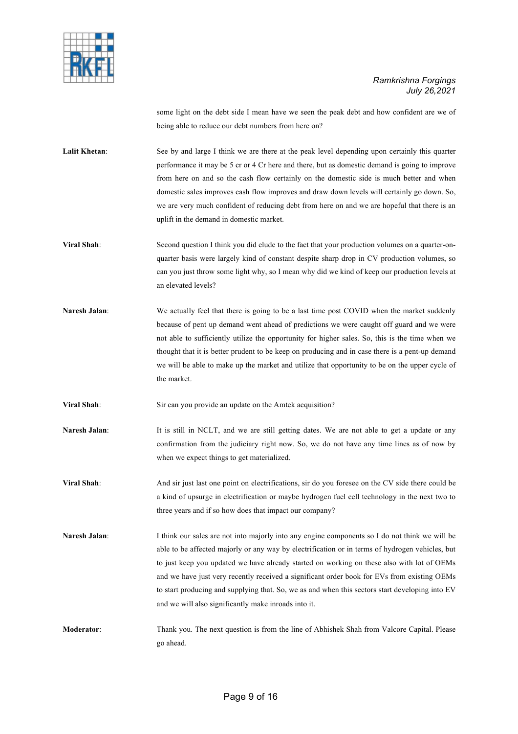

some light on the debt side I mean have we seen the peak debt and how confident are we of being able to reduce our debt numbers from here on?

Lalit Khetan: See by and large I think we are there at the peak level depending upon certainly this quarter performance it may be 5 cr or 4 Cr here and there, but as domestic demand is going to improve from here on and so the cash flow certainly on the domestic side is much better and when domestic sales improves cash flow improves and draw down levels will certainly go down. So, we are very much confident of reducing debt from here on and we are hopeful that there is an uplift in the demand in domestic market.

- **Viral Shah:** Second question I think you did elude to the fact that your production volumes on a quarter-onquarter basis were largely kind of constant despite sharp drop in CV production volumes, so can you just throw some light why, so I mean why did we kind of keep our production levels at an elevated levels?
- **Naresh Jalan:** We actually feel that there is going to be a last time post COVID when the market suddenly because of pent up demand went ahead of predictions we were caught off guard and we were not able to sufficiently utilize the opportunity for higher sales. So, this is the time when we thought that it is better prudent to be keep on producing and in case there is a pent-up demand we will be able to make up the market and utilize that opportunity to be on the upper cycle of the market.
- **Viral Shah**: Sir can you provide an update on the Amtek acquisition?
- **Naresh Jalan:** It is still in NCLT, and we are still getting dates. We are not able to get a update or any confirmation from the judiciary right now. So, we do not have any time lines as of now by when we expect things to get materialized.
- **Viral Shah**: And sir just last one point on electrifications, sir do you foresee on the CV side there could be a kind of upsurge in electrification or maybe hydrogen fuel cell technology in the next two to three years and if so how does that impact our company?
- **Naresh Jalan:** I think our sales are not into majorly into any engine components so I do not think we will be able to be affected majorly or any way by electrification or in terms of hydrogen vehicles, but to just keep you updated we have already started on working on these also with lot of OEMs and we have just very recently received a significant order book for EVs from existing OEMs to start producing and supplying that. So, we as and when this sectors start developing into EV and we will also significantly make inroads into it.
- **Moderator**: Thank you. The next question is from the line of Abhishek Shah from Valcore Capital. Please go ahead.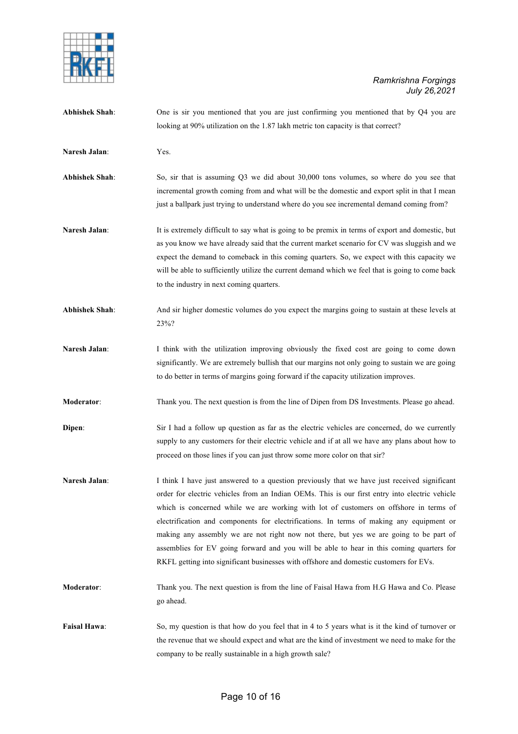

| <b>Abhishek Shah:</b> | One is sir you mentioned that you are just confirming you mentioned that by Q4 you are<br>looking at 90% utilization on the 1.87 lakh metric ton capacity is that correct?                                                                                                                                                                                                                                                                                                                                                                                                                                                                                          |
|-----------------------|---------------------------------------------------------------------------------------------------------------------------------------------------------------------------------------------------------------------------------------------------------------------------------------------------------------------------------------------------------------------------------------------------------------------------------------------------------------------------------------------------------------------------------------------------------------------------------------------------------------------------------------------------------------------|
| Naresh Jalan:         | Yes.                                                                                                                                                                                                                                                                                                                                                                                                                                                                                                                                                                                                                                                                |
| <b>Abhishek Shah:</b> | So, sir that is assuming Q3 we did about 30,000 tons volumes, so where do you see that<br>incremental growth coming from and what will be the domestic and export split in that I mean<br>just a ballpark just trying to understand where do you see incremental demand coming from?                                                                                                                                                                                                                                                                                                                                                                                |
| Naresh Jalan:         | It is extremely difficult to say what is going to be premix in terms of export and domestic, but<br>as you know we have already said that the current market scenario for CV was sluggish and we<br>expect the demand to comeback in this coming quarters. So, we expect with this capacity we<br>will be able to sufficiently utilize the current demand which we feel that is going to come back<br>to the industry in next coming quarters.                                                                                                                                                                                                                      |
| <b>Abhishek Shah:</b> | And sir higher domestic volumes do you expect the margins going to sustain at these levels at<br>23%?                                                                                                                                                                                                                                                                                                                                                                                                                                                                                                                                                               |
| Naresh Jalan:         | I think with the utilization improving obviously the fixed cost are going to come down<br>significantly. We are extremely bullish that our margins not only going to sustain we are going<br>to do better in terms of margins going forward if the capacity utilization improves.                                                                                                                                                                                                                                                                                                                                                                                   |
| Moderator:            | Thank you. The next question is from the line of Dipen from DS Investments. Please go ahead.                                                                                                                                                                                                                                                                                                                                                                                                                                                                                                                                                                        |
| Dipen:                | Sir I had a follow up question as far as the electric vehicles are concerned, do we currently<br>supply to any customers for their electric vehicle and if at all we have any plans about how to<br>proceed on those lines if you can just throw some more color on that sir?                                                                                                                                                                                                                                                                                                                                                                                       |
| Naresh Jalan:         | I think I have just answered to a question previously that we have just received significant<br>order for electric vehicles from an Indian OEMs. This is our first entry into electric vehicle<br>which is concerned while we are working with lot of customers on offshore in terms of<br>electrification and components for electrifications. In terms of making any equipment or<br>making any assembly we are not right now not there, but yes we are going to be part of<br>assemblies for EV going forward and you will be able to hear in this coming quarters for<br>RKFL getting into significant businesses with offshore and domestic customers for EVs. |
| Moderator:            | Thank you. The next question is from the line of Faisal Hawa from H.G Hawa and Co. Please<br>go ahead.                                                                                                                                                                                                                                                                                                                                                                                                                                                                                                                                                              |
| Faisal Hawa:          | So, my question is that how do you feel that in 4 to 5 years what is it the kind of turnover or<br>the revenue that we should expect and what are the kind of investment we need to make for the<br>company to be really sustainable in a high growth sale?                                                                                                                                                                                                                                                                                                                                                                                                         |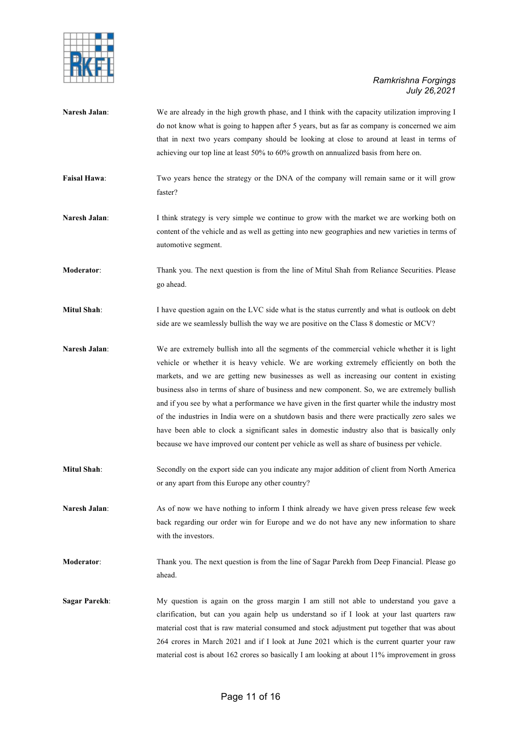

**Naresh Jalan:** We are already in the high growth phase, and I think with the capacity utilization improving I do not know what is going to happen after 5 years, but as far as company is concerned we aim that in next two years company should be looking at close to around at least in terms of achieving our top line at least 50% to 60% growth on annualized basis from here on. **Faisal Hawa:** Two years hence the strategy or the DNA of the company will remain same or it will grow faster? **Naresh Jalan:** I think strategy is very simple we continue to grow with the market we are working both on content of the vehicle and as well as getting into new geographies and new varieties in terms of automotive segment. **Moderator**: Thank you. The next question is from the line of Mitul Shah from Reliance Securities. Please go ahead. **Mitul Shah**: I have question again on the LVC side what is the status currently and what is outlook on debt side are we seamlessly bullish the way we are positive on the Class 8 domestic or MCV? **Naresh Jalan:** We are extremely bullish into all the segments of the commercial vehicle whether it is light vehicle or whether it is heavy vehicle. We are working extremely efficiently on both the markets, and we are getting new businesses as well as increasing our content in existing business also in terms of share of business and new component. So, we are extremely bullish and if you see by what a performance we have given in the first quarter while the industry most of the industries in India were on a shutdown basis and there were practically zero sales we have been able to clock a significant sales in domestic industry also that is basically only because we have improved our content per vehicle as well as share of business per vehicle. **Mitul Shah**: Secondly on the export side can you indicate any major addition of client from North America or any apart from this Europe any other country? **Naresh Jalan:** As of now we have nothing to inform I think already we have given press release few week back regarding our order win for Europe and we do not have any new information to share with the investors. **Moderator:** Thank you. The next question is from the line of Sagar Parekh from Deep Financial. Please go ahead. **Sagar Parekh**: My question is again on the gross margin I am still not able to understand you gave a clarification, but can you again help us understand so if I look at your last quarters raw material cost that is raw material consumed and stock adjustment put together that was about 264 crores in March 2021 and if I look at June 2021 which is the current quarter your raw

material cost is about 162 crores so basically I am looking at about 11% improvement in gross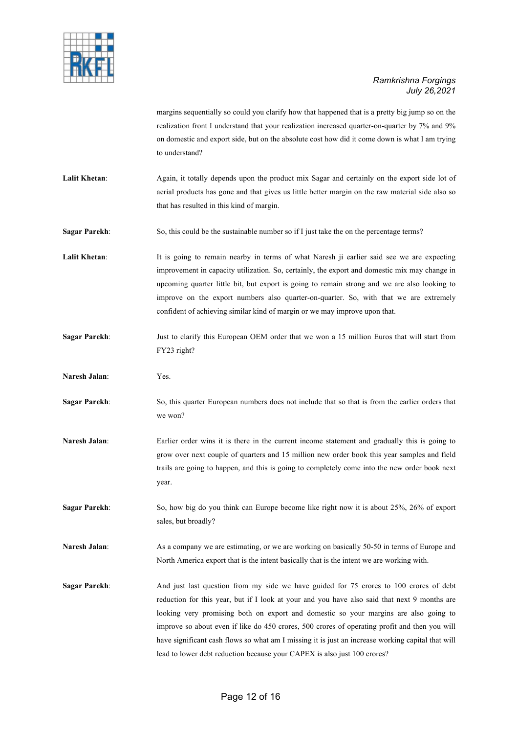

margins sequentially so could you clarify how that happened that is a pretty big jump so on the realization front I understand that your realization increased quarter-on-quarter by 7% and 9% on domestic and export side, but on the absolute cost how did it come down is what I am trying to understand?

Lalit Khetan: Again, it totally depends upon the product mix Sagar and certainly on the export side lot of aerial products has gone and that gives us little better margin on the raw material side also so that has resulted in this kind of margin.

**Sagar Parekh:** So, this could be the sustainable number so if I just take the on the percentage terms?

Lalit Khetan: It is going to remain nearby in terms of what Naresh ji earlier said see we are expecting improvement in capacity utilization. So, certainly, the export and domestic mix may change in upcoming quarter little bit, but export is going to remain strong and we are also looking to improve on the export numbers also quarter-on-quarter. So, with that we are extremely confident of achieving similar kind of margin or we may improve upon that.

- **Sagar Parekh**: Just to clarify this European OEM order that we won a 15 million Euros that will start from FY23 right?
- **Naresh Jalan**: Yes.
- **Sagar Parekh**: So, this quarter European numbers does not include that so that is from the earlier orders that we won?
- **Naresh Jalan:** Earlier order wins it is there in the current income statement and gradually this is going to grow over next couple of quarters and 15 million new order book this year samples and field trails are going to happen, and this is going to completely come into the new order book next year.

**Sagar Parekh:** So, how big do you think can Europe become like right now it is about 25%, 26% of export sales, but broadly?

**Naresh Jalan:** As a company we are estimating, or we are working on basically 50-50 in terms of Europe and North America export that is the intent basically that is the intent we are working with.

**Sagar Parekh**: And just last question from my side we have guided for 75 crores to 100 crores of debt reduction for this year, but if I look at your and you have also said that next 9 months are looking very promising both on export and domestic so your margins are also going to improve so about even if like do 450 crores, 500 crores of operating profit and then you will have significant cash flows so what am I missing it is just an increase working capital that will lead to lower debt reduction because your CAPEX is also just 100 crores?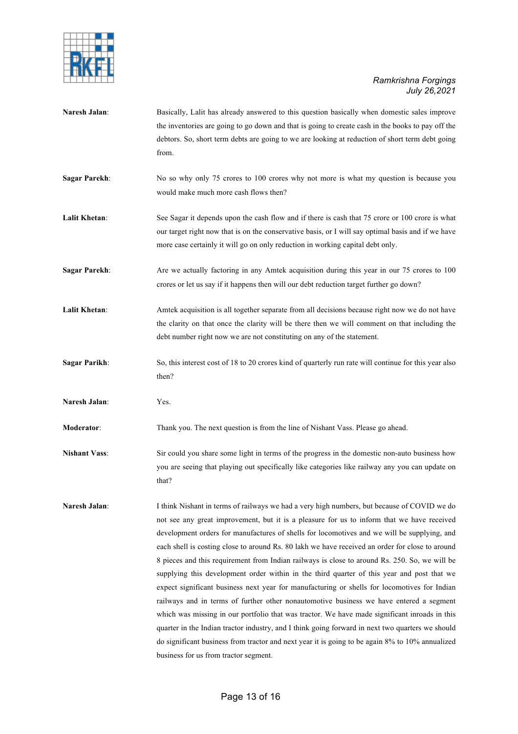

**Naresh Jalan:** Basically, Lalit has already answered to this question basically when domestic sales improve the inventories are going to go down and that is going to create cash in the books to pay off the debtors. So, short term debts are going to we are looking at reduction of short term debt going from. **Sagar Parekh:** No so why only 75 crores to 100 crores why not more is what my question is because you would make much more cash flows then? Lalit Khetan: See Sagar it depends upon the cash flow and if there is cash that 75 crore or 100 crore is what our target right now that is on the conservative basis, or I will say optimal basis and if we have more case certainly it will go on only reduction in working capital debt only. **Sagar Parekh:** Are we actually factoring in any Amtek acquisition during this year in our 75 crores to 100 crores or let us say if it happens then will our debt reduction target further go down? Lalit Khetan: Amtek acquisition is all together separate from all decisions because right now we do not have the clarity on that once the clarity will be there then we will comment on that including the debt number right now we are not constituting on any of the statement. **Sagar Parikh:** So, this interest cost of 18 to 20 crores kind of quarterly run rate will continue for this year also then? **Naresh Jalan**: Yes. **Moderator**: Thank you. The next question is from the line of Nishant Vass. Please go ahead. **Nishant Vass**: Sir could you share some light in terms of the progress in the domestic non-auto business how you are seeing that playing out specifically like categories like railway any you can update on that? **Naresh Jalan**: I think Nishant in terms of railways we had a very high numbers, but because of COVID we do not see any great improvement, but it is a pleasure for us to inform that we have received development orders for manufactures of shells for locomotives and we will be supplying, and each shell is costing close to around Rs. 80 lakh we have received an order for close to around 8 pieces and this requirement from Indian railways is close to around Rs. 250. So, we will be supplying this development order within in the third quarter of this year and post that we expect significant business next year for manufacturing or shells for locomotives for Indian railways and in terms of further other nonautomotive business we have entered a segment which was missing in our portfolio that was tractor. We have made significant inroads in this quarter in the Indian tractor industry, and I think going forward in next two quarters we should do significant business from tractor and next year it is going to be again 8% to 10% annualized

business for us from tractor segment.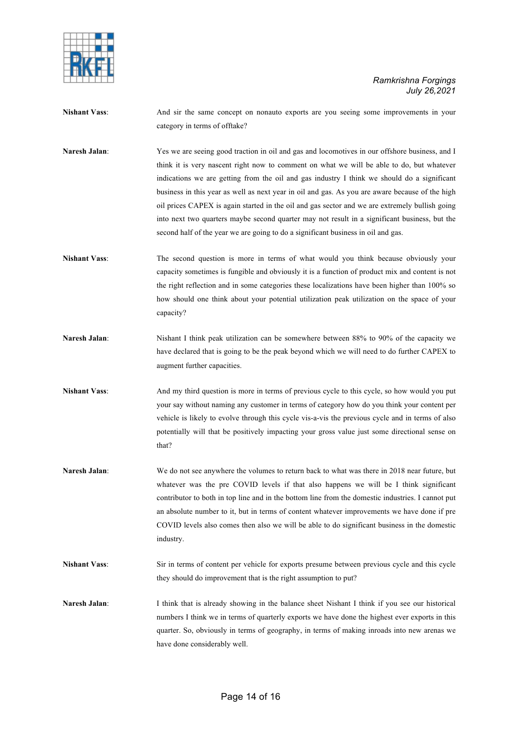

- **Nishant Vass**: And sir the same concept on nonauto exports are you seeing some improvements in your category in terms of offtake?
- **Naresh Jalan:** Yes we are seeing good traction in oil and gas and locomotives in our offshore business, and I think it is very nascent right now to comment on what we will be able to do, but whatever indications we are getting from the oil and gas industry I think we should do a significant business in this year as well as next year in oil and gas. As you are aware because of the high oil prices CAPEX is again started in the oil and gas sector and we are extremely bullish going into next two quarters maybe second quarter may not result in a significant business, but the second half of the year we are going to do a significant business in oil and gas.
- **Nishant Vass**: The second question is more in terms of what would you think because obviously your capacity sometimes is fungible and obviously it is a function of product mix and content is not the right reflection and in some categories these localizations have been higher than 100% so how should one think about your potential utilization peak utilization on the space of your capacity?
- **Naresh Jalan:** Nishant I think peak utilization can be somewhere between 88% to 90% of the capacity we have declared that is going to be the peak beyond which we will need to do further CAPEX to augment further capacities.
- **Nishant Vass**: And my third question is more in terms of previous cycle to this cycle, so how would you put your say without naming any customer in terms of category how do you think your content per vehicle is likely to evolve through this cycle vis-a-vis the previous cycle and in terms of also potentially will that be positively impacting your gross value just some directional sense on that?
- Naresh Jalan: We do not see anywhere the volumes to return back to what was there in 2018 near future, but whatever was the pre COVID levels if that also happens we will be I think significant contributor to both in top line and in the bottom line from the domestic industries. I cannot put an absolute number to it, but in terms of content whatever improvements we have done if pre COVID levels also comes then also we will be able to do significant business in the domestic industry.
- **Nishant Vass**: Sir in terms of content per vehicle for exports presume between previous cycle and this cycle they should do improvement that is the right assumption to put?
- **Naresh Jalan:** I think that is already showing in the balance sheet Nishant I think if you see our historical numbers I think we in terms of quarterly exports we have done the highest ever exports in this quarter. So, obviously in terms of geography, in terms of making inroads into new arenas we have done considerably well.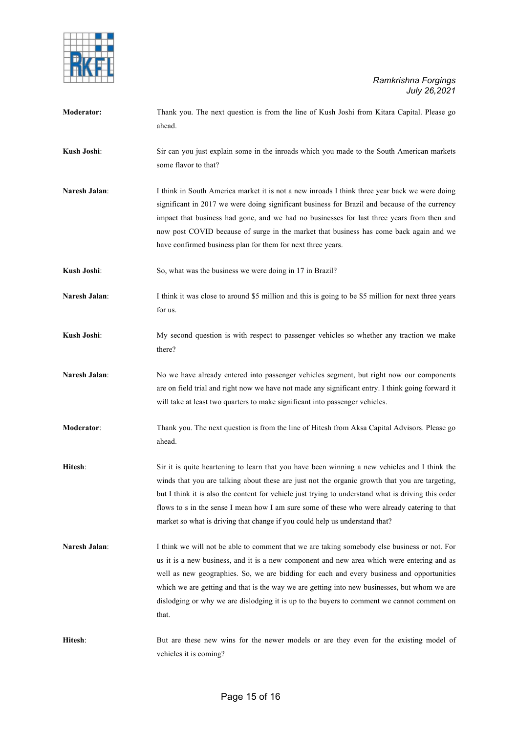

| Moderator:    | Thank you. The next question is from the line of Kush Joshi from Kitara Capital. Please go<br>ahead.                                                                                                                                                                                                                                                                                                                                                                                           |
|---------------|------------------------------------------------------------------------------------------------------------------------------------------------------------------------------------------------------------------------------------------------------------------------------------------------------------------------------------------------------------------------------------------------------------------------------------------------------------------------------------------------|
| Kush Joshi:   | Sir can you just explain some in the inroads which you made to the South American markets<br>some flavor to that?                                                                                                                                                                                                                                                                                                                                                                              |
| Naresh Jalan: | I think in South America market it is not a new inroads I think three year back we were doing<br>significant in 2017 we were doing significant business for Brazil and because of the currency<br>impact that business had gone, and we had no businesses for last three years from then and<br>now post COVID because of surge in the market that business has come back again and we<br>have confirmed business plan for them for next three years.                                          |
| Kush Joshi:   | So, what was the business we were doing in 17 in Brazil?                                                                                                                                                                                                                                                                                                                                                                                                                                       |
| Naresh Jalan: | I think it was close to around \$5 million and this is going to be \$5 million for next three years<br>for us.                                                                                                                                                                                                                                                                                                                                                                                 |
| Kush Joshi:   | My second question is with respect to passenger vehicles so whether any traction we make<br>there?                                                                                                                                                                                                                                                                                                                                                                                             |
| Naresh Jalan: | No we have already entered into passenger vehicles segment, but right now our components<br>are on field trial and right now we have not made any significant entry. I think going forward it<br>will take at least two quarters to make significant into passenger vehicles.                                                                                                                                                                                                                  |
| Moderator:    | Thank you. The next question is from the line of Hitesh from Aksa Capital Advisors. Please go<br>ahead.                                                                                                                                                                                                                                                                                                                                                                                        |
| Hitesh:       | Sir it is quite heartening to learn that you have been winning a new vehicles and I think the<br>winds that you are talking about these are just not the organic growth that you are targeting,<br>but I think it is also the content for vehicle just trying to understand what is driving this order<br>flows to s in the sense I mean how I am sure some of these who were already catering to that<br>market so what is driving that change if you could help us understand that?          |
| Naresh Jalan: | I think we will not be able to comment that we are taking somebody else business or not. For<br>us it is a new business, and it is a new component and new area which were entering and as<br>well as new geographies. So, we are bidding for each and every business and opportunities<br>which we are getting and that is the way we are getting into new businesses, but whom we are<br>dislodging or why we are dislodging it is up to the buyers to comment we cannot comment on<br>that. |
| Hitesh:       | But are these new wins for the newer models or are they even for the existing model of<br>vehicles it is coming?                                                                                                                                                                                                                                                                                                                                                                               |